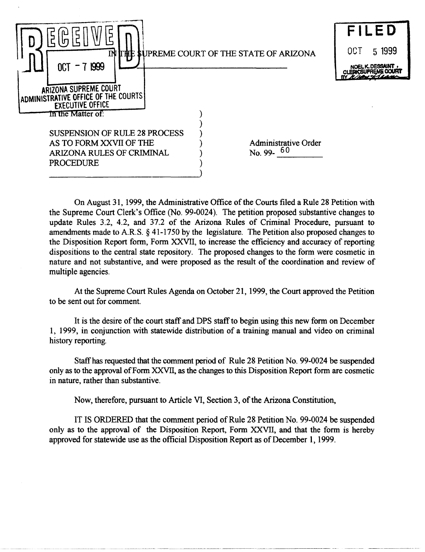

On August 31, 1999, the Administrative Office of the Courts filed a Rule 28 Petition with the Supreme Court Clerk's Office (No. 99-0024). The petition proposed substantive changes to update Rules 3.2, 4.2, and 37.2 of the Arizona Rules of Criminal Procedure, pursuant to amendments made to A.R.S. § 41-1750 by the legislature. The Petition also proposed changes to the Disposition Report form, Form XXVII, to increase the efficiency and accuracy of reporting dispositions to the central state repository. The proposed changes to the form were cosmetic in nature and not substantive, and were proposed as the result of the coordination and review of multiple agencies.

At the Supreme Court Rules Agenda on October 21, 1999, the Court approved the Petition to be sent out for comment.

It is the desire of the court staff and DPS staff to begin using this new form on December 1, 1999, in conjunction with statewide distribution of a training manual and video on criminal history reporting.

Staffhas requested that the comment period of Rule 28 Petition No. 99-0024 be suspended only as to the approval of Form XXVII, as the changes to this Disposition Report form are cosmetic in nature, rather than substantive.

Now, therefore, pursuant to Article VI, Section 3, of the Arizona Constitution,

-- ---~-------- ------------~------.--.---~- ----~--. ----~~--------------

IT IS ORDERED that the comment period of Rule 28 Petition No. 99-0024 be suspended only as to the approval of the Disposition Report, Form XXVII, and that the form is hereby approved for statewide use as the official Disposition Report as of December 1, 1999.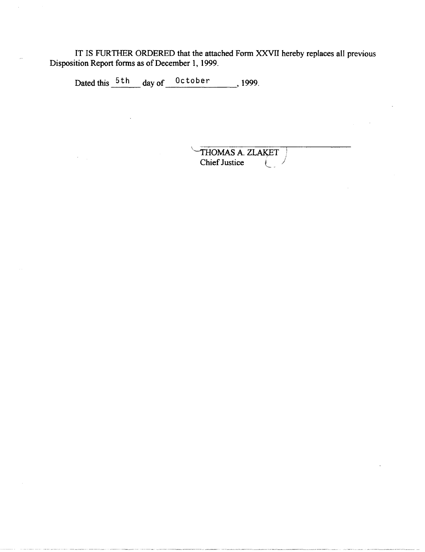IT IS FURTHER ORDERED that the attached Form XXVII hereby replaces all previous Disposition Report forms as of December 1, 1999.

Dated this 5th day of 0ctober 1999.

 $\star$   $\sim$   $_{\star}$ 

THOMAS A. ZLAKET<br>Chief Justice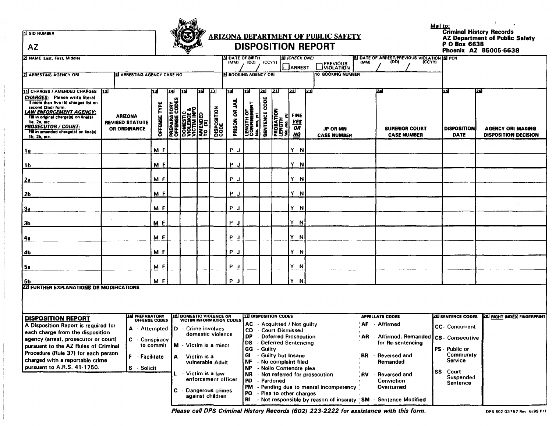**IT SID NUMBER** 

**AZ** 



## **ARIZONA DEPARTMENT OF PUBLIC SAFETY DISPOSITION REPORT**

Mail to:<br>Criminal History Records<br>AZ Department of Public Safety<br>P.O Box 6638 Phoenix AZ 85005-6638

| 2 NAME (Last, First, Middle)                                                                                                                                                                                                                                                                                    |                                                          |                      |                                                              |                                                                                                               |   |                                  | <b>3I DATE OF BIRTH</b><br>(MM)                                                                          | (DD)                                                | (CCYY)                                                                                                                                |                                           | <b>A ICHECK ONE!</b><br><b>JARREST</b>       |              | <b>PREVIOUS</b>                       |                                              | <b>B</b> DATE OF ARREST/PREVIOUS VIOLATION <b>B</b> PCN<br><b>(CCYY)</b> |                                            |                                                               |
|-----------------------------------------------------------------------------------------------------------------------------------------------------------------------------------------------------------------------------------------------------------------------------------------------------------------|----------------------------------------------------------|----------------------|--------------------------------------------------------------|---------------------------------------------------------------------------------------------------------------|---|----------------------------------|----------------------------------------------------------------------------------------------------------|-----------------------------------------------------|---------------------------------------------------------------------------------------------------------------------------------------|-------------------------------------------|----------------------------------------------|--------------|---------------------------------------|----------------------------------------------|--------------------------------------------------------------------------|--------------------------------------------|---------------------------------------------------------------|
| <b>2 ARRESTING AGENCY ORI</b>                                                                                                                                                                                                                                                                                   | <b>B</b> ARRESTING AGENCY CASE NO.                       |                      |                                                              |                                                                                                               |   |                                  | <b>9 BOOKING AGENCY ORI</b>                                                                              |                                                     |                                                                                                                                       |                                           |                                              |              | 10 BOOKING NUMBER                     |                                              |                                                                          |                                            |                                                               |
| 11 CHARGES / AMENDED CHARGES 12<br><b>CHARGES:</b> Please write literal<br>If more than five (5) charges list on<br>second (2nd) form.<br><u>AW ENFORCEMENT AGENCY:</u><br>Fill in original charge(s) on line(s)<br>1a, 2a, etc.<br>PROSECUTOR / COURT:<br>Fill in amended charge(s) on line(s)<br>1b, 2b, etc. | <b>ARIZONA</b><br><b>REVISED STATUTE</b><br>OR ORDINANCE | 13<br>ō              | 1141<br><b>TORY</b><br>CODE:                                 | [15]<br><b>PREPARATOR<br/>OFFENSE COL<br/>DOMESTIC<br/>VICTIM INFO<br/>VICTIM INFO<br/>AMENDED<br/>LO (X)</b> | Œ | បរ<br><b>DISPOSITION</b><br>CODE | 18<br>흮<br>PRISON OR                                                                                     | 19<br>]öä<br>LENGTH OF<br>CONFINEM<br>Lida, mo, yr) | 20<br>ğ<br>8<br><b>SENTENCE</b>                                                                                                       | 21<br>PROBATION<br>LENGTH<br>Ida. mo. yr/ | 22<br><b>FINE</b><br><b>YES</b><br>OR<br>NO. | $\boxed{23}$ | <b>JP OR MN</b><br><b>CASE NUMBER</b> |                                              | 24<br><b>SUPERIOR COURT</b><br><b>CASE NUMBER</b>                        | 25<br><b>DISPOSITION</b><br><b>DATE</b>    | 26<br><b>AGENCY ORI MAKING</b><br><b>DISPOSITION DECISION</b> |
| 1 a                                                                                                                                                                                                                                                                                                             |                                                          | M F                  |                                                              |                                                                                                               |   |                                  | P J                                                                                                      |                                                     |                                                                                                                                       |                                           | Y N                                          |              |                                       |                                              |                                                                          |                                            |                                                               |
| 1b                                                                                                                                                                                                                                                                                                              |                                                          | M F                  |                                                              |                                                                                                               |   |                                  | P J                                                                                                      |                                                     |                                                                                                                                       |                                           | Y N                                          |              |                                       |                                              |                                                                          |                                            |                                                               |
| 2a                                                                                                                                                                                                                                                                                                              |                                                          | M F                  |                                                              |                                                                                                               |   |                                  | P J                                                                                                      |                                                     |                                                                                                                                       |                                           | Y N                                          |              |                                       |                                              |                                                                          |                                            |                                                               |
| <b>2b</b>                                                                                                                                                                                                                                                                                                       |                                                          | M F                  |                                                              |                                                                                                               |   |                                  | P J                                                                                                      |                                                     |                                                                                                                                       |                                           | Y N                                          |              |                                       |                                              |                                                                          |                                            |                                                               |
| За                                                                                                                                                                                                                                                                                                              |                                                          | M F                  |                                                              |                                                                                                               |   |                                  | P J                                                                                                      |                                                     |                                                                                                                                       |                                           | Y N                                          |              |                                       |                                              |                                                                          |                                            |                                                               |
| <u>3b</u>                                                                                                                                                                                                                                                                                                       |                                                          | мf                   |                                                              |                                                                                                               |   |                                  | P J                                                                                                      |                                                     |                                                                                                                                       |                                           | Y N                                          |              |                                       |                                              |                                                                          |                                            |                                                               |
| 4а                                                                                                                                                                                                                                                                                                              |                                                          | M F                  |                                                              |                                                                                                               |   |                                  | P J                                                                                                      |                                                     |                                                                                                                                       |                                           | Y N                                          |              |                                       |                                              |                                                                          |                                            |                                                               |
| 4b                                                                                                                                                                                                                                                                                                              |                                                          | M F                  |                                                              |                                                                                                               |   |                                  | P J                                                                                                      |                                                     |                                                                                                                                       |                                           | Y N                                          |              |                                       |                                              |                                                                          |                                            |                                                               |
| 5a                                                                                                                                                                                                                                                                                                              |                                                          | M F                  |                                                              |                                                                                                               |   |                                  | P J                                                                                                      |                                                     |                                                                                                                                       |                                           | Y N                                          |              |                                       |                                              |                                                                          |                                            |                                                               |
| 5b                                                                                                                                                                                                                                                                                                              |                                                          | M F                  |                                                              |                                                                                                               |   |                                  | P J                                                                                                      |                                                     |                                                                                                                                       |                                           | Y N                                          |              |                                       |                                              |                                                                          |                                            |                                                               |
| <b>22 FURTHER EXPLANATIONS OR MODIFICATIONS</b>                                                                                                                                                                                                                                                                 |                                                          |                      |                                                              |                                                                                                               |   |                                  |                                                                                                          |                                                     |                                                                                                                                       |                                           |                                              |              |                                       |                                              |                                                                          |                                            |                                                               |
| <b>DISPOSITION REPORT</b>                                                                                                                                                                                                                                                                                       | <b>14 PREPARATORY</b>                                    | <b>OFFENSE CODES</b> |                                                              |                                                                                                               |   |                                  | 15 DOMESTIC VIOLENCE OR<br>VICTIM INFORMATION CODES                                                      |                                                     |                                                                                                                                       | 12 DISPOSITION CODES                      |                                              |              |                                       |                                              | <b>APPELLATE CODES</b>                                                   |                                            | 20 SENTENCE CODES 28 RIGHT INDEX FINGERPRINT                  |
| A Disposition Report is required for                                                                                                                                                                                                                                                                            |                                                          |                      |                                                              |                                                                                                               |   |                                  |                                                                                                          |                                                     |                                                                                                                                       |                                           | AC - Acquitted / Not guilty                  |              |                                       | AF.                                          | - Affirmed                                                               | <b>CC</b> - Concurrent                     |                                                               |
| A - Attempted<br>each charge from the disposition<br>agency (arrest, prosecutor or court)<br>C - Conspiracy                                                                                                                                                                                                     |                                                          |                      | D - Crime involves<br>domestic violence                      |                                                                                                               |   |                                  | <b>CD</b> - Court Dismissed<br><b>DP</b><br>- Deferred Prosecution<br><b>DS</b><br>- Deferred Sentencing |                                                     |                                                                                                                                       |                                           |                                              |              |                                       | AR - Affirmed, Remanded<br>for Re-sentencing | <b>CS</b> - Consecutive                                                  |                                            |                                                               |
| to commit<br>pursuant to the AZ Rules of Criminal<br>Procedure (Rule 37) for each person<br>F - Facilitate<br>charged with a reportable crime                                                                                                                                                                   |                                                          |                      | M - Victim is a minor<br>A - Victim is a<br>vulnerable Adult |                                                                                                               |   |                                  | GG<br>- Guilty<br>GI<br>- Guilty but Insane<br>- No complaint filed<br>NF                                |                                                     |                                                                                                                                       |                                           |                                              |              | RR.                                   | - Reversed and<br>Remanded                   | PS - Public or<br>Community<br><b>Service</b>                            |                                            |                                                               |
| pursuant to A.R.S. 41-1750.                                                                                                                                                                                                                                                                                     | S - Solicit                                              |                      |                                                              | L - Victim is a law                                                                                           |   | enforcement officer              |                                                                                                          | <b>NP</b><br><b>NR</b><br>PD                        |                                                                                                                                       | - Pardoned                                | - Nollo Contendre plea                       |              | - Not referred for prosecution        |                                              | <b>RV</b> - Reversed and<br><b>Conviction</b><br>Overturned              | <b>SS</b> - Court<br>Suspended<br>Sentence |                                                               |
|                                                                                                                                                                                                                                                                                                                 |                                                          |                      |                                                              | Dangerous crimes<br>c.<br>against children                                                                    |   |                                  |                                                                                                          | PO.<br>RI                                           | PM - Pending due to mental incompetency<br>- Plea to other charges<br>- Not responsible by reason of insanity 'SM - Sentence Modified |                                           |                                              |              |                                       |                                              |                                                                          |                                            |                                                               |

Please call DPS Criminal History Records (602) 223-2222 for assistance with this form.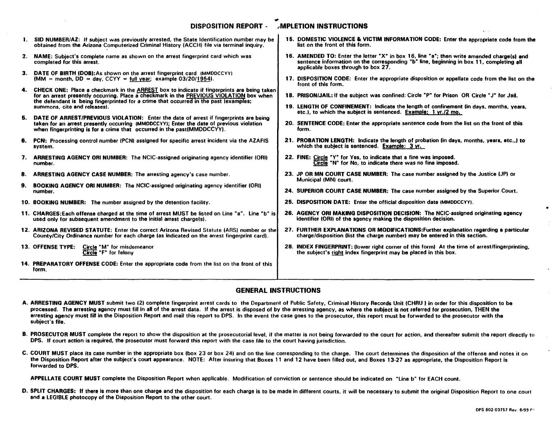## DISPOSITION REPORT - MPLETION INSTRUCTIONS  $\blacksquare$

|              | 1. SID NUMBER/AZ: If subject was previously arrested, the State Identification number may be<br>obtained from the Arizona Computerized Criminal History (ACCH) file via terminal inquiry.                                                                                         | 15. DOMESTIC VIOLENCE & VICTIM INFORMATION CODE: Enter the appropriate code from the<br>list on the front of this form.                                                                                                      |
|--------------|-----------------------------------------------------------------------------------------------------------------------------------------------------------------------------------------------------------------------------------------------------------------------------------|------------------------------------------------------------------------------------------------------------------------------------------------------------------------------------------------------------------------------|
| $\mathbf{2}$ | <b>NAME:</b> Subject's complete name as shown on the arrest fingerprint card which was<br>completed for this arrest.                                                                                                                                                              | 16. AMENDED TO: Enter the letter "X" in box 16, line "a"; then write amended charge(s) and<br>sentence information on the corresponding "b" line, beginning in box 11, completing all<br>applicable boxes through to box 27. |
|              | 3. DATE OF BIRTH (DOB): As shown on the arrest fingerprint card (MMDDCCYY)<br>(MM = month, DD = day, CCYY = full year; example 03/20/1954).                                                                                                                                       | 17. DISPOSITION CODE: Enter the appropriate disposition or appellate code from the list on the<br>front of this form.                                                                                                        |
|              | 4. CHECK ONE: Place a checkmark in the ARREST box to indicate if fingerprints are being taken<br>for an arrest presently occurring. Place a checkmark in the PREVIOUS VIOLATION box when<br>the defendant is being fingerprinted for a crime that occurred in the past (examples; | 18. PRISON/JAIL: If the subject was confined: Circle "P" for Prison OR Circle "J" for Jail.                                                                                                                                  |
|              | summons, cite and releases).                                                                                                                                                                                                                                                      | 19. LENGTH OF CONFINEMENT: Indicate the length of confinement (in days, months, years,<br>etc.), to which the subject is sentenced. Example: 1 yr./2 mo.                                                                     |
| Б.           | DATE OF ARREST/PREVIOUS VIOLATION: Enter the date of arrest if fingerprints are being<br>taken for an arrest presently occurring (MMDDCCYY); Enter the date of previous violation<br>when fingerprinting is for a crime that occurred in the past(MMDDCCYY).                      | 20. SENTENCE CODE: Enter the appropriate sentence code from the list on the front of this<br>form.                                                                                                                           |
| 6.           | PCN: Processing control number (PCN) assigned for specific arrest incident via the AZAFIS<br>system.                                                                                                                                                                              | 21. PROBATION LENGTH: Indicate the length of probation (in days, months, years, etc.,) to<br>which the subject is sentenced. Example: 3 yr.                                                                                  |
| 7.           | <b>ARRESTING AGENCY ORI NUMBER:</b> The NCIC-assigned originating agency identifier (ORI)<br>number.                                                                                                                                                                              | 22. FINE: Circle "Y" for Yes, to indicate that a fine was imposed.<br>Circle "N" for No, to indicate there was no fine imposed.                                                                                              |
| 8.           | <b>ARRESTING AGENCY CASE NUMBER: The arresting agency's case number.</b>                                                                                                                                                                                                          | 23. JP OR MN COURT CASE NUMBER: The case number assigned by the Justice (JP) or<br>Municipal (MN) court.                                                                                                                     |
| 9.           | <b>BOOKING AGENCY ORI NUMBER:</b> The NCIC-assigned originating agency identifier (ORI)<br>number.                                                                                                                                                                                | 24. SUPERIOR COURT CASE NUMBER: The case number assigned by the Superior Court.                                                                                                                                              |
|              | 10. BOOKING NUMBER: The number assigned by the detention facility.                                                                                                                                                                                                                | 25. DISPOSITION DATE: Enter the official disposition date (MMDDCCYY).                                                                                                                                                        |
|              | 11. CHARGES: Each offense charged at the time of arrest MUST be listed on Line "a". Line "b" is<br>used only for subsequent amendment to the initial arrest charge(s).                                                                                                            | 26. AGENCY ORI MAKING DISPOSITION DECISION: The NCIC-assigned originating agency<br>identifier (ORI) of the agency making the disposition decision.                                                                          |
|              | 12. ARIZONA REVISED STATUTE: Enter the correct Arizona Revised Statute (ARS) number or the<br>County/City Ordinance number for each charge (as indicated on the arrest fingerprint card).                                                                                         | 27. FURTHER EXPLANATIONS OR MODIFICATIONS: Further explanation regarding a particular<br>charge/disposition (list the charge number) may be entered in this section.                                                         |
|              | 13. OFFENSE TYPE: Circle "M" for misdemeanor<br>Circle "F" for felony                                                                                                                                                                                                             | 28. INDEX FINGERPRINT: (lower right corner of this form) At the time of arrest/fingerprinting,<br>the subject's right index fingerprint may be placed in this box.                                                           |
|              | 14. PREPARATORY OFFENSE CODE: Enter the appropriate code from the list on the front of this<br>form.                                                                                                                                                                              |                                                                                                                                                                                                                              |
|              |                                                                                                                                                                                                                                                                                   |                                                                                                                                                                                                                              |

## GENERAL INSTRUCTIONS

- A. ARRESTING AGENCY MUST submit two (2) complete fingerprint arrest cards to the Department of Public Safety, Criminal History Records Unit (CHRU) in order for this disposition to be processed. The arresting agency must fill in all of the arrest data. If the arrest is disposed of by the arresting agency, as where the subject is not referred for prosecution, THEN the arresting agency must fill in the Disposition Report and mail this report to DPS. In the event the case goes to the prosecutor. this report must be forwarded to the prosecutor with the subject's file.
- B. PROSECUTOR MUST complete the report to show the disposition at the prosecutorial level, if the matter is not being forwarded to the court for action, and thereafter submit the report directly to DPS. If court action is required, the prosecutor must forward this report with the case file to the court having jurisdiction.
- C. COURT MUST place its case number in the appropriate box (box 23 or box 24) and on the line corresponding to the charge. The court determines the disposition of the offense and notes it on the Disposition Report after the subject's court appearance. NOTE: After insuring that Boxes 11 and 12 have been filled out. and Boxes 13·27 as appropriate. the Disposition Report is forwarded to DPS.

APPELLATE COURT MUST complete the Disposition Report when applicable. Modification of conviction or sentence should be indicated on "line b" for EACH count.

D. SPLIT CHARGES: If there is more than one charge and the disposition for each charge is to be made in different courts, it will be necessary to submit the original Disposition Report to one court and a LEGIBLE photocopy of the Disposition Report to the other court.

•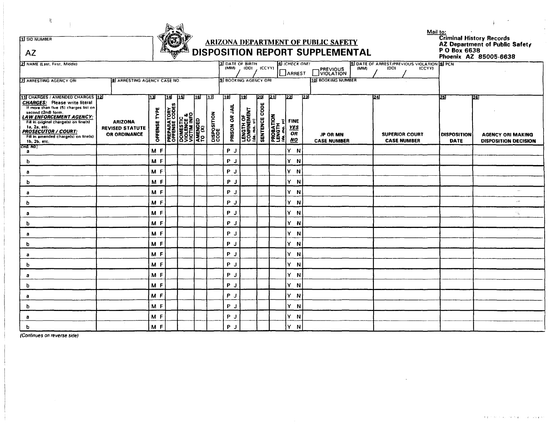

## ARIZONA DEPARTMENT OF PUBLIC SAFETY<br>ARIZONA DEPOSITION REPORT SUPPLEMENTAL

Mail to:<br>Criminal History Records<br>AZ Department of Public Safety<br>P O Box 6638<br>Phoenix AZ 85005-6638

| AZ                                                                                                                                                                                                                                                                                                                      |                                                          | <b>EXAMPLEMENTAL</b> DISPOSITION REPORT SUPPLEMENTAL<br>P O Box 6638<br>Phoenix AZ 85005-6638 |     |                                                                                                                          |            |                                   |                                                                                                                                                                                       |                                                  |                        |                                                      |                                                           |             |                                       |                                                     |                                         |                                                                 |  |
|-------------------------------------------------------------------------------------------------------------------------------------------------------------------------------------------------------------------------------------------------------------------------------------------------------------------------|----------------------------------------------------------|-----------------------------------------------------------------------------------------------|-----|--------------------------------------------------------------------------------------------------------------------------|------------|-----------------------------------|---------------------------------------------------------------------------------------------------------------------------------------------------------------------------------------|--------------------------------------------------|------------------------|------------------------------------------------------|-----------------------------------------------------------|-------------|---------------------------------------|-----------------------------------------------------|-----------------------------------------|-----------------------------------------------------------------|--|
| 2 NAME (Last, First, Middle)                                                                                                                                                                                                                                                                                            |                                                          |                                                                                               |     |                                                                                                                          |            |                                   | 3 DATE OF BIRTH<br><b>4) ICHECK ONE!</b><br><b>5 DATE OF ARREST/PREVIOUS VIOLATION 6 PCN</b><br>(MM) (DD) (CCYY)<br>(DD)<br>(MM)<br>(CCYY)<br>PREVIOUS<br>VIOLATION<br><b>JARREST</b> |                                                  |                        |                                                      |                                                           |             |                                       |                                                     |                                         |                                                                 |  |
| <b>ZI ARRESTING AGENCY ORI</b><br><b>BI ARRESTING AGENCY CASE NO.</b>                                                                                                                                                                                                                                                   |                                                          |                                                                                               |     |                                                                                                                          |            |                                   | 10 BOOKING NUMBER<br>9 BOOKING AGENCY ORI                                                                                                                                             |                                                  |                        |                                                      |                                                           |             |                                       |                                                     |                                         |                                                                 |  |
| 11 CHARGES / AMENDED CHARGES 12<br><b>CHARGES:</b> Please write literal<br>If more than five (5) charges list on<br>second (2nd) form.<br><b>LAW ENFORCEMENT AGENCY:</b><br>Fill in original charge(s) on line(s)<br>1a, 2a, etc.<br><b>PROSECUTOR / COURT:</b><br>Fill in amended charge(s) on line(s)<br>1b, 2b, etc. | <b>ARIZONA</b><br><b>REVISED STATUTE</b><br>OR ORDINANCE | l13l<br>TYPE<br><b>OFFENSE</b>                                                                | 114 | 15 T<br><b>PREPARATORY<br/>OFFENSE CODES<br/>DOMESTIC<br/>VICIENDES<br/>VICIENDED<br/>ANENDED<br/>ANENDED<br/>TO (X)</b> | <u> 16</u> | 717<br><b>DISPOSITION</b><br>CODE | 18<br><b>AIL</b><br>8<br>PRISON                                                                                                                                                       | 119<br>LENGTH OF<br>CONFINEMENT<br>Lida, mo, yi) | 20<br>CODE<br>SENTENCE | - 1211<br>PROBATION<br>LENGTH<br><i>(da. mo. yil</i> | 22<br><b>FINE</b><br><b>YES</b><br><b>OR</b><br><b>NO</b> | खि          | <b>JP OR MN</b><br><b>CASE NUMBER</b> | 1241<br><b>SUPERIOR COURT</b><br><b>CASE NUMBER</b> | 25<br><b>DISPOSITION</b><br><b>DATE</b> | 1261<br><b>AGENCY ORI MAKING</b><br><b>DISPOSITION DECISION</b> |  |
| CHG. NO.<br>a                                                                                                                                                                                                                                                                                                           |                                                          | M F                                                                                           |     |                                                                                                                          |            |                                   | P J                                                                                                                                                                                   |                                                  |                        |                                                      | Y.                                                        | $\mathbf N$ |                                       |                                                     |                                         |                                                                 |  |
| b                                                                                                                                                                                                                                                                                                                       |                                                          | M F                                                                                           |     |                                                                                                                          |            |                                   | P<br>ل                                                                                                                                                                                |                                                  |                        |                                                      | Y N                                                       |             |                                       |                                                     |                                         |                                                                 |  |
| a                                                                                                                                                                                                                                                                                                                       |                                                          | M F                                                                                           |     |                                                                                                                          |            |                                   | $P$ J                                                                                                                                                                                 |                                                  |                        |                                                      | Y N                                                       |             |                                       |                                                     |                                         |                                                                 |  |
| b                                                                                                                                                                                                                                                                                                                       |                                                          | M F                                                                                           |     |                                                                                                                          |            |                                   | P J                                                                                                                                                                                   |                                                  |                        |                                                      | Y N                                                       |             |                                       |                                                     |                                         |                                                                 |  |
| a                                                                                                                                                                                                                                                                                                                       |                                                          | $M$ $F$                                                                                       |     |                                                                                                                          |            |                                   | $P$ J                                                                                                                                                                                 |                                                  |                        |                                                      | Y N                                                       |             |                                       |                                                     |                                         | $\epsilon_{\rm{NN}}$ .                                          |  |
| b                                                                                                                                                                                                                                                                                                                       |                                                          | M F                                                                                           |     |                                                                                                                          |            |                                   | $P$ J                                                                                                                                                                                 |                                                  |                        |                                                      | Y.                                                        | $\mathbf N$ |                                       |                                                     |                                         | $\sim$                                                          |  |
| а                                                                                                                                                                                                                                                                                                                       |                                                          | M F                                                                                           |     |                                                                                                                          |            |                                   | $P$ J                                                                                                                                                                                 |                                                  |                        |                                                      | Y N                                                       |             |                                       |                                                     |                                         | 9.                                                              |  |
| b                                                                                                                                                                                                                                                                                                                       |                                                          | M F                                                                                           |     |                                                                                                                          |            |                                   | $P$ J                                                                                                                                                                                 |                                                  |                        |                                                      | Y N                                                       |             |                                       |                                                     |                                         |                                                                 |  |
| а                                                                                                                                                                                                                                                                                                                       |                                                          | M F                                                                                           |     |                                                                                                                          |            |                                   | $P$ J                                                                                                                                                                                 |                                                  |                        |                                                      | Y N                                                       |             |                                       |                                                     |                                         | -23                                                             |  |
| b                                                                                                                                                                                                                                                                                                                       |                                                          | M F                                                                                           |     |                                                                                                                          |            |                                   | P <sub>J</sub>                                                                                                                                                                        |                                                  |                        |                                                      | Y.                                                        | $\mathbf N$ |                                       |                                                     |                                         |                                                                 |  |
| а                                                                                                                                                                                                                                                                                                                       |                                                          | MF                                                                                            |     |                                                                                                                          |            |                                   | P J                                                                                                                                                                                   |                                                  |                        |                                                      | Y N                                                       |             |                                       |                                                     |                                         |                                                                 |  |
| b                                                                                                                                                                                                                                                                                                                       |                                                          | M F                                                                                           |     |                                                                                                                          |            |                                   | P J                                                                                                                                                                                   |                                                  |                        |                                                      | Y N                                                       |             |                                       |                                                     |                                         |                                                                 |  |
| a                                                                                                                                                                                                                                                                                                                       |                                                          | $M$ F                                                                                         |     |                                                                                                                          |            |                                   | $P$ J                                                                                                                                                                                 |                                                  |                        |                                                      | Y N                                                       |             |                                       |                                                     |                                         |                                                                 |  |
| b                                                                                                                                                                                                                                                                                                                       |                                                          | M F                                                                                           |     |                                                                                                                          |            |                                   | P J                                                                                                                                                                                   |                                                  |                        |                                                      | Y N                                                       |             |                                       |                                                     |                                         |                                                                 |  |
| a                                                                                                                                                                                                                                                                                                                       |                                                          | M F                                                                                           |     |                                                                                                                          |            |                                   | $P$ J                                                                                                                                                                                 |                                                  |                        |                                                      | Y N                                                       |             |                                       |                                                     |                                         |                                                                 |  |
| b                                                                                                                                                                                                                                                                                                                       |                                                          | M F                                                                                           |     |                                                                                                                          |            |                                   | P J                                                                                                                                                                                   |                                                  |                        |                                                      | Y N                                                       |             |                                       |                                                     |                                         |                                                                 |  |
| a                                                                                                                                                                                                                                                                                                                       |                                                          | M F                                                                                           |     |                                                                                                                          |            |                                   | P J                                                                                                                                                                                   |                                                  |                        |                                                      | Y N                                                       |             |                                       |                                                     |                                         |                                                                 |  |
| b                                                                                                                                                                                                                                                                                                                       |                                                          | M <sub>F</sub>                                                                                |     |                                                                                                                          |            |                                   | P<br>J                                                                                                                                                                                |                                                  |                        |                                                      | Y.                                                        | $\mathbf N$ |                                       |                                                     |                                         |                                                                 |  |

(Continues on reverse side)

 $\mathcal{H}$ 

**II SID NUMBER**